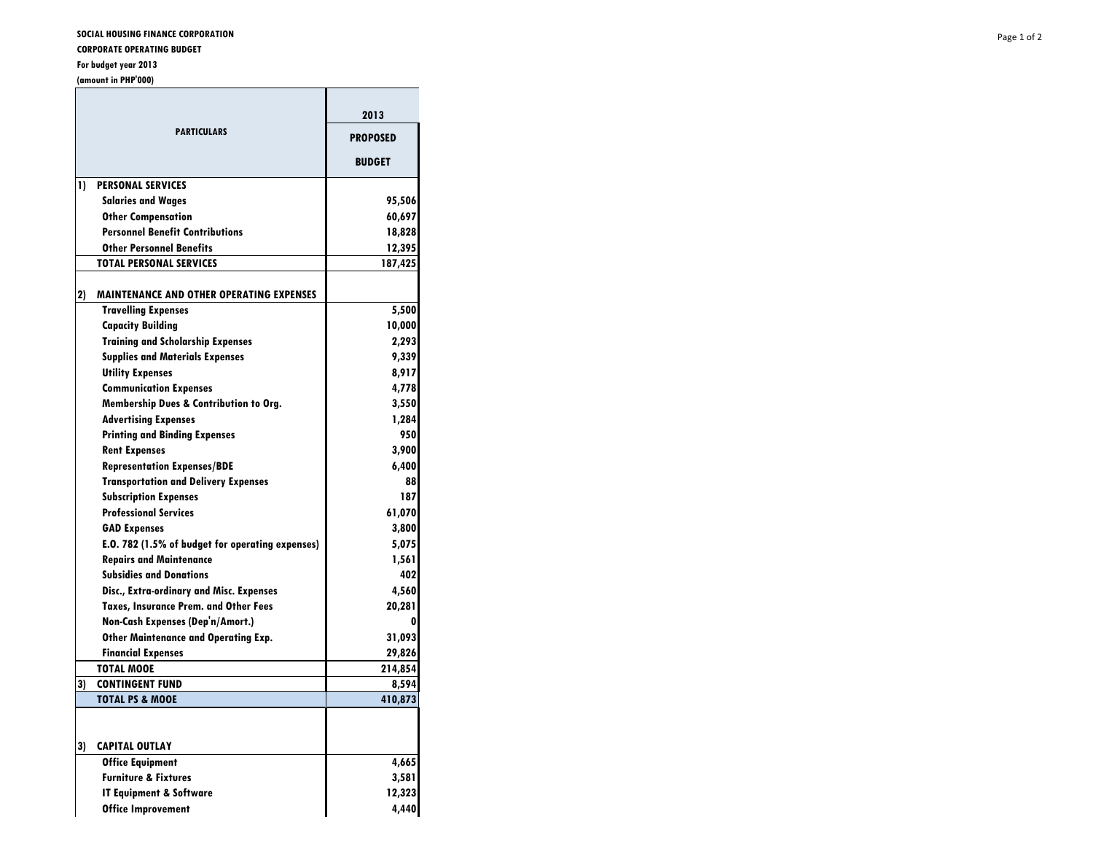**CORPORATE OPERATING BUDGET**

## **For budget year 2013**

**(amount in PHP'000)**

|    | <b>PARTICULARS</b>                                | 2013<br><b>PROPOSED</b><br><b>BUDGET</b> |
|----|---------------------------------------------------|------------------------------------------|
| 1) | <b>PERSONAL SERVICES</b>                          |                                          |
|    | <b>Salaries and Wages</b>                         | 95,506                                   |
|    | <b>Other Compensation</b>                         | 60,697                                   |
|    | <b>Personnel Benefit Contributions</b>            | 18,828                                   |
|    | <b>Other Personnel Benefits</b>                   | 12,395                                   |
|    | <b>TOTAL PERSONAL SERVICES</b>                    | 187,425                                  |
| 2) | <b>MAINTENANCE AND OTHER OPERATING EXPENSES</b>   |                                          |
|    | <b>Travelling Expenses</b>                        | 5,500                                    |
|    | <b>Capacity Building</b>                          | 10,000                                   |
|    | <b>Training and Scholarship Expenses</b>          | 2,293                                    |
|    | <b>Supplies and Materials Expenses</b>            | 9,339                                    |
|    | <b>Utility Expenses</b>                           | 8,917                                    |
|    | <b>Communication Expenses</b>                     | 4,778                                    |
|    | <b>Membership Dues &amp; Contribution to Org.</b> | 3,550                                    |
|    | <b>Advertising Expenses</b>                       | 1,284                                    |
|    | <b>Printing and Binding Expenses</b>              | 950                                      |
|    | <b>Rent Expenses</b>                              | 3,900                                    |
|    | <b>Representation Expenses/BDE</b>                | 6,400                                    |
|    | <b>Transportation and Delivery Expenses</b>       | 88                                       |
|    | <b>Subscription Expenses</b>                      | 187                                      |
|    | <b>Professional Services</b>                      | 61,070                                   |
|    | <b>GAD Expenses</b>                               | 3,800                                    |
|    | E.O. 782 (1.5% of budget for operating expenses)  | 5,075                                    |
|    | <b>Repairs and Maintenance</b>                    | 1,561                                    |
|    | <b>Subsidies and Donations</b>                    | 402                                      |
|    | Disc., Extra-ordinary and Misc. Expenses          | 4,560                                    |
|    | <b>Taxes, Insurance Prem. and Other Fees</b>      | 20,281                                   |
|    | Non-Cash Expenses (Dep'n/Amort.)                  | o                                        |
|    | <b>Other Maintenance and Operating Exp.</b>       | 31,093                                   |
|    | <b>Financial Expenses</b>                         | 29,826                                   |
|    | <b>TOTAL MOOE</b>                                 | 214,854                                  |
| 3) | <b>CONTINGENT FUND</b>                            | 8,594                                    |
|    | <b>TOTAL PS &amp; MOOE</b>                        | 410,873                                  |
|    |                                                   |                                          |
| 3) | <b>CAPITAL OUTLAY</b><br><b>Office Equipment</b>  |                                          |
|    | <b>Furniture &amp; Fixtures</b>                   | 4,665                                    |
|    |                                                   | 3,581                                    |
|    | <b>IT Equipment &amp; Software</b>                | 12,323                                   |
|    | <b>Office Improvement</b>                         | 4,440                                    |

<u>a sa Barangara</u>